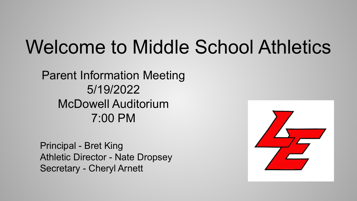# Welcome to Middle School Athletics

Parent Information Meeting 5/19/2022 McDowell Auditorium 7:00 PM

Principal - Bret King Athletic Director - Nate Dropsey Secretary - Cheryl Arnett

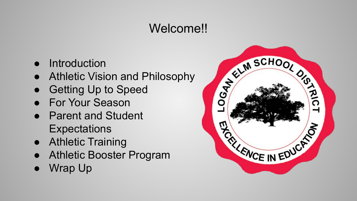# Welcome!!

- Introduction
- Athletic Vision and Philosophy
- Getting Up to Speed
- For Your Season
- Parent and Student **Expectations**
- Athletic Training
- Athletic Booster Program
- Wrap Up

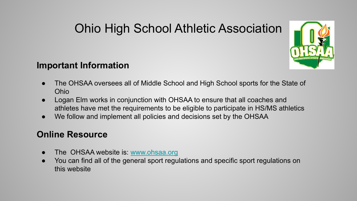# Ohio High School Athletic Association



#### **Important Information**

- The OHSAA oversees all of Middle School and High School sports for the State of Ohio
- Logan Elm works in conjunction with OHSAA to ensure that all coaches and athletes have met the requirements to be eligible to participate in HS/MS athletics
- We follow and implement all policies and decisions set by the OHSAA

#### **Online Resource**

- The OHSAA website is: [www.ohsaa.org](http://www.ohsaa.org)
- You can find all of the general sport regulations and specific sport regulations on this website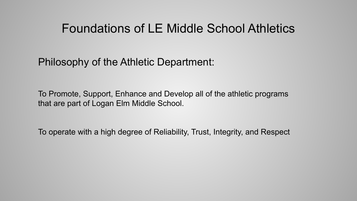#### Foundations of LE Middle School Athletics

Philosophy of the Athletic Department:

To Promote, Support, Enhance and Develop all of the athletic programs that are part of Logan Elm Middle School.

To operate with a high degree of Reliability, Trust, Integrity, and Respect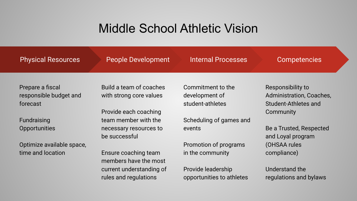### Middle School Athletic Vision

| <b>Physical Resources</b>                              | <b>People Development</b>                          | <b>Internal Processes</b>                               | <b>Competencies</b>                                                   |
|--------------------------------------------------------|----------------------------------------------------|---------------------------------------------------------|-----------------------------------------------------------------------|
| Prepare a fiscal<br>responsible budget and<br>forecast | Build a team of coaches<br>with strong core values | Commitment to the<br>development of<br>student-athletes | Responsibility to<br>Administration, Coaches,<br>Student-Athletes and |
| Fundraising                                            | Provide each coaching<br>team member with the      | Scheduling of games and                                 | Community                                                             |
| <b>Opportunities</b>                                   | necessary resources to<br>be successful            | events                                                  | Be a Trusted, Respected<br>and Loyal program                          |
| Optimize available space,                              |                                                    | Promotion of programs                                   | (OHSAA rules                                                          |
| time and location                                      | Ensure coaching team<br>members have the most      | in the community                                        | compliance)                                                           |
|                                                        | current understanding of<br>rules and regulations  | Provide leadership<br>opportunities to athletes         | Understand the<br>regulations and bylaws                              |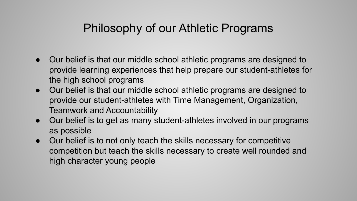#### Philosophy of our Athletic Programs

- Our belief is that our middle school athletic programs are designed to provide learning experiences that help prepare our student-athletes for the high school programs
- Our belief is that our middle school athletic programs are designed to provide our student-athletes with Time Management, Organization, Teamwork and Accountability
- Our belief is to get as many student-athletes involved in our programs as possible
- Our belief is to not only teach the skills necessary for competitive competition but teach the skills necessary to create well rounded and high character young people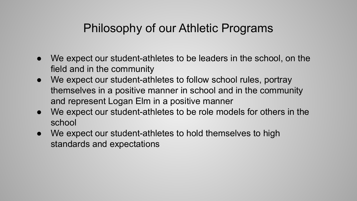#### Philosophy of our Athletic Programs

- We expect our student-athletes to be leaders in the school, on the field and in the community
- We expect our student-athletes to follow school rules, portray themselves in a positive manner in school and in the community and represent Logan Elm in a positive manner
- We expect our student-athletes to be role models for others in the school
- We expect our student-athletes to hold themselves to high standards and expectations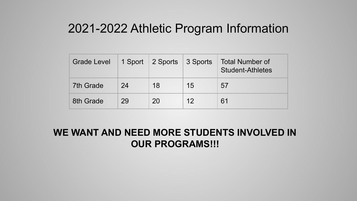#### 2021-2022 Athletic Program Information

| <b>Grade Level</b> |    | 1 Sport 2 Sports 3 Sports |    | Total Number of<br><b>Student-Athletes</b> |
|--------------------|----|---------------------------|----|--------------------------------------------|
| 7th Grade          | 24 | 18                        | 15 | 57                                         |
| 8th Grade          | 29 | 20                        | 12 | 61                                         |

#### **WE WANT AND NEED MORE STUDENTS INVOLVED IN OUR PROGRAMS!!!**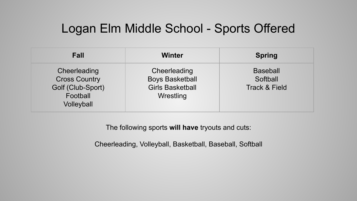#### Logan Elm Middle School - Sports Offered

| <b>Fall</b>                                                                         | <b>Winter</b>                                                                         | <b>Spring</b>                                           |
|-------------------------------------------------------------------------------------|---------------------------------------------------------------------------------------|---------------------------------------------------------|
| Cheerleading<br><b>Cross Country</b><br>Golf (Club-Sport)<br>Football<br>Volleyball | Cheerleading<br><b>Boys Basketball</b><br><b>Girls Basketball</b><br><b>Wrestling</b> | <b>Baseball</b><br>Softball<br><b>Track &amp; Field</b> |

The following sports **will have** tryouts and cuts:

Cheerleading, Volleyball, Basketball, Baseball, Softball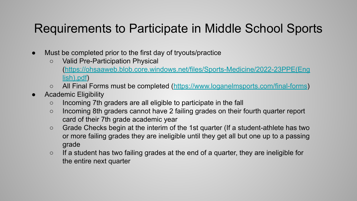# Requirements to Participate in Middle School Sports

- Must be completed prior to the first day of tryouts/practice
	- Valid Pre-Participation Physical ([https://ohsaaweb.blob.core.windows.net/files/Sports-Medicine/2022-23PPE\(Eng](https://ohsaaweb.blob.core.windows.net/files/Sports-Medicine/2022-23PPE(English).pdf) [lish\).pdf](https://ohsaaweb.blob.core.windows.net/files/Sports-Medicine/2022-23PPE(English).pdf))
	- All Final Forms must be completed [\(https://www.loganelmsports.com/final-forms\)](https://www.loganelmsports.com/final-forms)
- **Academic Eligibility** 
	- Incoming 7th graders are all eligible to participate in the fall
	- Incoming 8th graders cannot have 2 failing grades on their fourth quarter report card of their 7th grade academic year
	- Grade Checks begin at the interim of the 1st quarter (If a student-athlete has two or more failing grades they are ineligible until they get all but one up to a passing grade
	- If a student has two failing grades at the end of a quarter, they are ineligible for the entire next quarter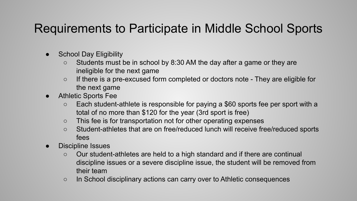# Requirements to Participate in Middle School Sports

- **School Day Eligibility** 
	- $\circ$  Students must be in school by 8:30 AM the day after a game or they are ineligible for the next game
	- If there is a pre-excused form completed or doctors note They are eligible for the next game
- **Athletic Sports Fee** 
	- Each student-athlete is responsible for paying a \$60 sports fee per sport with a total of no more than \$120 for the year (3rd sport is free)
	- This fee is for transportation not for other operating expenses
	- Student-athletes that are on free/reduced lunch will receive free/reduced sports fees
- Discipline Issues
	- Our student-athletes are held to a high standard and if there are continual discipline issues or a severe discipline issue, the student will be removed from their team
	- In School disciplinary actions can carry over to Athletic consequences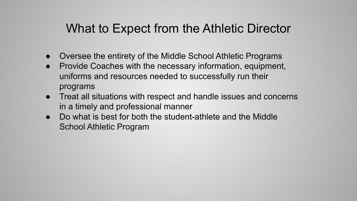# What to Expect from the Athletic Director

- Oversee the entirety of the Middle School Athletic Programs
- Provide Coaches with the necessary information, equipment, uniforms and resources needed to successfully run their programs
- Treat all situations with respect and handle issues and concerns in a timely and professional manner
- Do what is best for both the student-athlete and the Middle School Athletic Program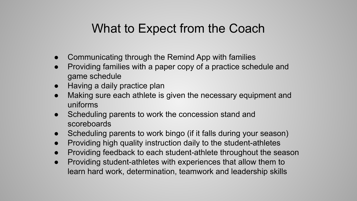# What to Expect from the Coach

- Communicating through the Remind App with families
- Providing families with a paper copy of a practice schedule and game schedule
- Having a daily practice plan
- Making sure each athlete is given the necessary equipment and uniforms
- Scheduling parents to work the concession stand and scoreboards
- Scheduling parents to work bingo (if it falls during your season)
- Providing high quality instruction daily to the student-athletes
- Providing feedback to each student-athlete throughout the season
- Providing student-athletes with experiences that allow them to learn hard work, determination, teamwork and leadership skills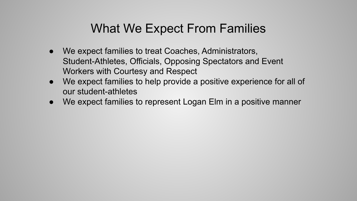# What We Expect From Families

- We expect families to treat Coaches, Administrators, Student-Athletes, Officials, Opposing Spectators and Event Workers with Courtesy and Respect
- We expect families to help provide a positive experience for all of our student-athletes
- We expect families to represent Logan Elm in a positive manner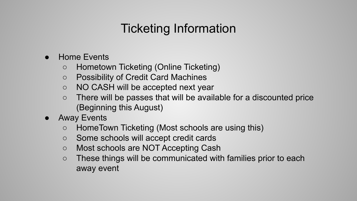# Ticketing Information

- **Home Events** 
	- Hometown Ticketing (Online Ticketing)
	- Possibility of Credit Card Machines
	- NO CASH will be accepted next year
	- There will be passes that will be available for a discounted price (Beginning this August)
- **Away Events** 
	- HomeTown Ticketing (Most schools are using this)
	- Some schools will accept credit cards
	- Most schools are NOT Accepting Cash
	- These things will be communicated with families prior to each away event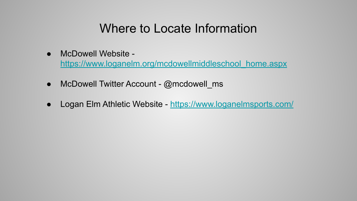# Where to Locate Information

McDowell Website -

[https://www.loganelm.org/mcdowellmiddleschool\\_home.aspx](https://www.loganelm.org/mcdowellmiddleschool_home.aspx)

- $\bullet$  McDowell Twitter Account @mcdowell\_ms
- Logan Elm Athletic Website -<https://www.loganelmsports.com/>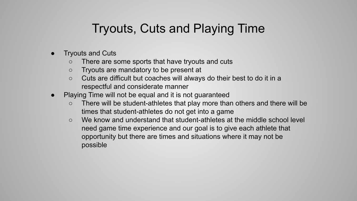# Tryouts, Cuts and Playing Time

- **Tryouts and Cuts** 
	- There are some sports that have tryouts and cuts
	- Tryouts are mandatory to be present at
	- Cuts are difficult but coaches will always do their best to do it in a respectful and considerate manner
- Playing Time will not be equal and it is not guaranteed
	- There will be student-athletes that play more than others and there will be times that student-athletes do not get into a game
	- $\circ$  We know and understand that student-athletes at the middle school level need game time experience and our goal is to give each athlete that opportunity but there are times and situations where it may not be possible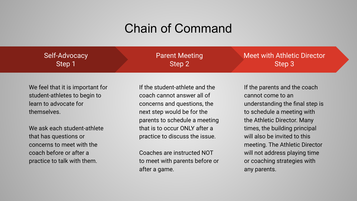#### Chain of Command

| Self-Advocacy | <b>Parent Meeting</b> | Meet with Athletic Director |
|---------------|-----------------------|-----------------------------|
| Step 1        | Step 2                | Step 3                      |

We feel that it is important for student-athletes to begin to learn to advocate for themselves.

We ask each student-athlete that has questions or concerns to meet with the coach before or after a practice to talk with them.

If the student-athlete and the coach cannot answer all of concerns and questions, the next step would be for the parents to schedule a meeting that is to occur ONLY after a practice to discuss the issue.

Coaches are instructed NOT to meet with parents before or after a game.

If the parents and the coach cannot come to an understanding the final step is to schedule a meeting with the Athletic Director. Many times, the building principal will also be invited to this meeting. The Athletic Director will not address playing time or coaching strategies with any parents.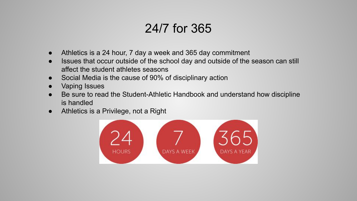# 24/7 for 365

- Athletics is a 24 hour, 7 day a week and 365 day commitment
- Issues that occur outside of the school day and outside of the season can still affect the student athletes seasons
- Social Media is the cause of 90% of disciplinary action
- Vaping Issues
- Be sure to read the Student-Athletic Handbook and understand how discipline is handled
- Athletics is a Privilege, not a Right

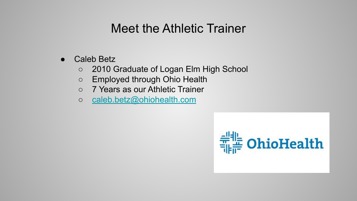### Meet the Athletic Trainer

- **Caleb Betz** 
	- 2010 Graduate of Logan Elm High School
	- Employed through Ohio Health
	- 7 Years as our Athletic Trainer
	- [caleb.betz@ohiohealth.com](mailto:caleb.betz@ohiohealth.com)

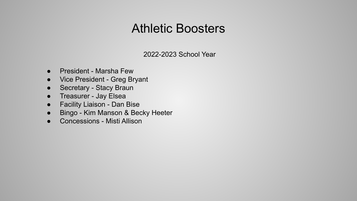#### Athletic Boosters

2022-2023 School Year

- President Marsha Few
- Vice President Greg Bryant
- Secretary Stacy Braun
- Treasurer Jay Elsea
- Facility Liaison Dan Bise
- Bingo Kim Manson & Becky Heeter
- Concessions Misti Allison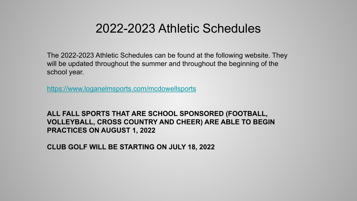#### 2022-2023 Athletic Schedules

The 2022-2023 Athletic Schedules can be found at the following website. They will be updated throughout the summer and throughout the beginning of the school year.

<https://www.loganelmsports.com/mcdowellsports>

**ALL FALL SPORTS THAT ARE SCHOOL SPONSORED (FOOTBALL, VOLLEYBALL, CROSS COUNTRY AND CHEER) ARE ABLE TO BEGIN PRACTICES ON AUGUST 1, 2022**

**CLUB GOLF WILL BE STARTING ON JULY 18, 2022**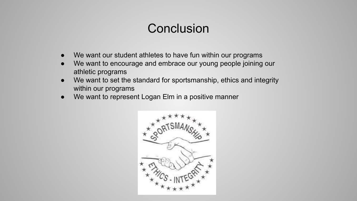# **Conclusion**

- We want our student athletes to have fun within our programs
- We want to encourage and embrace our young people joining our athletic programs
- We want to set the standard for sportsmanship, ethics and integrity within our programs
- We want to represent Logan Elm in a positive manner